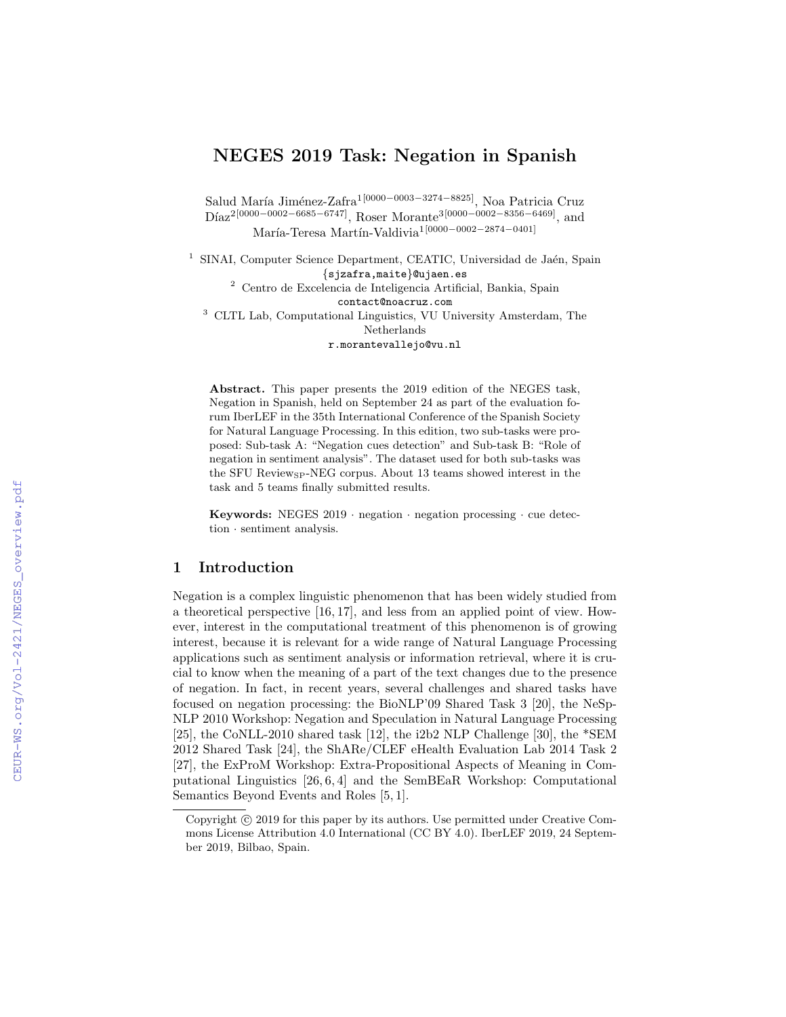# NEGES 2019 Task: Negation in Spanish

Salud María Jiménez-Zafra<sup>1[0000–0003–3274–8825]</sup>, Noa Patricia Cruz  $Diaz^{2[0000-0002-6685-6747]}$ , Roser Morante<sup>3[0000–0002–8356–6469]</sup>, and María-Teresa Martín-Valdivia<sup>1[0000–0002–2874–0401]</sup>

<sup>1</sup> SINAI, Computer Science Department, CEATIC, Universidad de Jaén, Spain {sjzafra,maite}@ujaen.es

 $^{\rm 2}$  Centro de Excelencia de Inteligencia Artificial, Bankia, Spain contact@noacruz.com

<sup>3</sup> CLTL Lab, Computational Linguistics, VU University Amsterdam, The Netherlands

r.morantevallejo@vu.nl

Abstract. This paper presents the 2019 edition of the NEGES task, Negation in Spanish, held on September 24 as part of the evaluation forum IberLEF in the 35th International Conference of the Spanish Society for Natural Language Processing. In this edition, two sub-tasks were proposed: Sub-task A: "Negation cues detection" and Sub-task B: "Role of negation in sentiment analysis". The dataset used for both sub-tasks was the SFU Review<sub>SP</sub>-NEG corpus. About 13 teams showed interest in the task and 5 teams finally submitted results.

Keywords: NEGES  $2019$  · negation · negation processing · cue detection · sentiment analysis.

## 1 Introduction

Negation is a complex linguistic phenomenon that has been widely studied from a theoretical perspective [16, 17], and less from an applied point of view. However, interest in the computational treatment of this phenomenon is of growing interest, because it is relevant for a wide range of Natural Language Processing applications such as sentiment analysis or information retrieval, where it is crucial to know when the meaning of a part of the text changes due to the presence of negation. In fact, in recent years, several challenges and shared tasks have focused on negation processing: the BioNLP'09 Shared Task 3 [20], the NeSp-NLP 2010 Workshop: Negation and Speculation in Natural Language Processing [25], the CoNLL-2010 shared task [12], the i2b2 NLP Challenge [30], the \*SEM 2012 Shared Task [24], the ShARe/CLEF eHealth Evaluation Lab 2014 Task 2 [27], the ExProM Workshop: Extra-Propositional Aspects of Meaning in Computational Linguistics [26, 6, 4] and the SemBEaR Workshop: Computational Semantics Beyond Events and Roles [5, 1].

Copyright  $\odot$  2019 for this paper by its authors. Use permitted under Creative Commons License Attribution 4.0 International (CC BY 4.0). IberLEF 2019, 24 September 2019, Bilbao, Spain.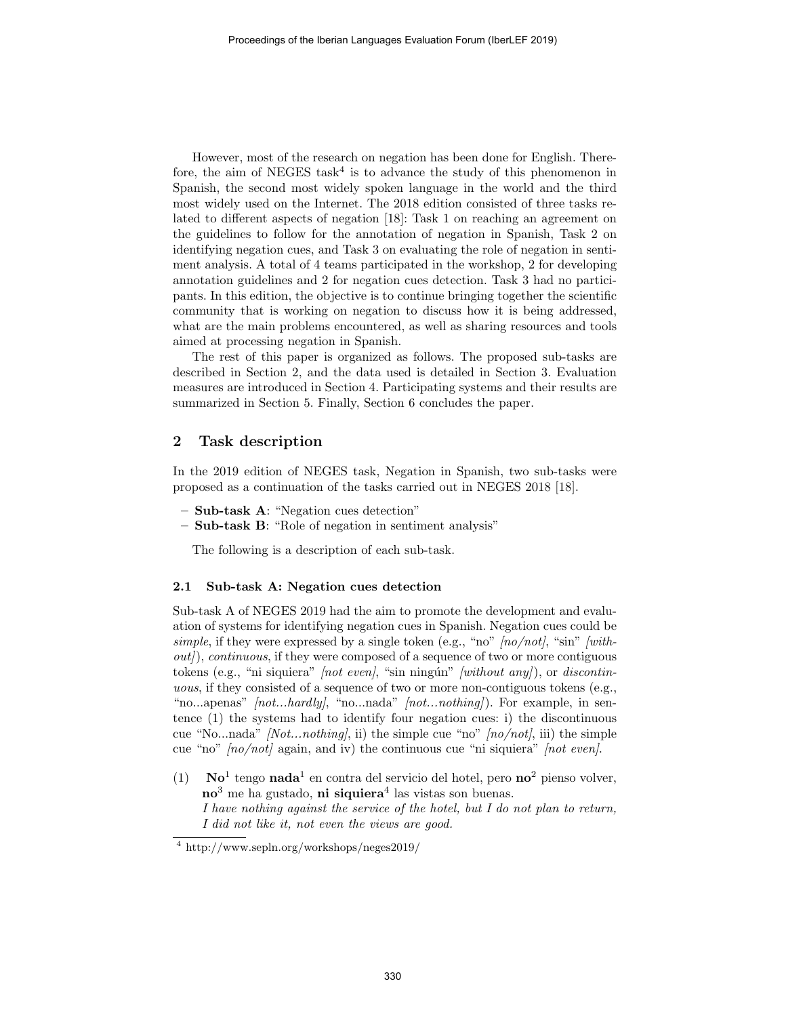However, most of the research on negation has been done for English. Therefore, the aim of NEGES task<sup>4</sup> is to advance the study of this phenomenon in Spanish, the second most widely spoken language in the world and the third most widely used on the Internet. The 2018 edition consisted of three tasks related to different aspects of negation [18]: Task 1 on reaching an agreement on the guidelines to follow for the annotation of negation in Spanish, Task 2 on identifying negation cues, and Task 3 on evaluating the role of negation in sentiment analysis. A total of 4 teams participated in the workshop, 2 for developing annotation guidelines and 2 for negation cues detection. Task 3 had no participants. In this edition, the objective is to continue bringing together the scientific community that is working on negation to discuss how it is being addressed, what are the main problems encountered, as well as sharing resources and tools aimed at processing negation in Spanish.

The rest of this paper is organized as follows. The proposed sub-tasks are described in Section 2, and the data used is detailed in Section 3. Evaluation measures are introduced in Section 4. Participating systems and their results are summarized in Section 5. Finally, Section 6 concludes the paper.

# 2 Task description

In the 2019 edition of NEGES task, Negation in Spanish, two sub-tasks were proposed as a continuation of the tasks carried out in NEGES 2018 [18].

- Sub-task A: "Negation cues detection"
- Sub-task B: "Role of negation in sentiment analysis"

The following is a description of each sub-task.

#### 2.1 Sub-task A: Negation cues detection

Sub-task A of NEGES 2019 had the aim to promote the development and evaluation of systems for identifying negation cues in Spanish. Negation cues could be simple, if they were expressed by a single token (e.g., "no"  $[no/not]$ , "sin"  $[with$  $out)$ , continuous, if they were composed of a sequence of two or more contiguous tokens (e.g., "ni siquiera"  $[not even]$ , "sin ningún"  $[without any]$ ), or discontinuous, if they consisted of a sequence of two or more non-contiguous tokens (e.g., "no...apenas" *[not...hardly]*, "no...nada" *[not...nothing]*). For example, in sentence (1) the systems had to identify four negation cues: i) the discontinuous cue "No...nada" [Not...nothing], ii) the simple cue "no"  $[no/not]$ , iii) the simple cue "no"  $[no/not]$  again, and iv) the continuous cue "ni siquiera"  $[not even]$ .

(1) No<sup>1</sup> tengo nada<sup>1</sup> en contra del servicio del hotel, pero no<sup>2</sup> pienso volver,  $\mathbf{no}^3$  me ha gustado, ni siquiera<sup>4</sup> las vistas son buenas. I have nothing against the service of the hotel, but I do not plan to return, I did not like it, not even the views are good.

<sup>4</sup> http://www.sepln.org/workshops/neges2019/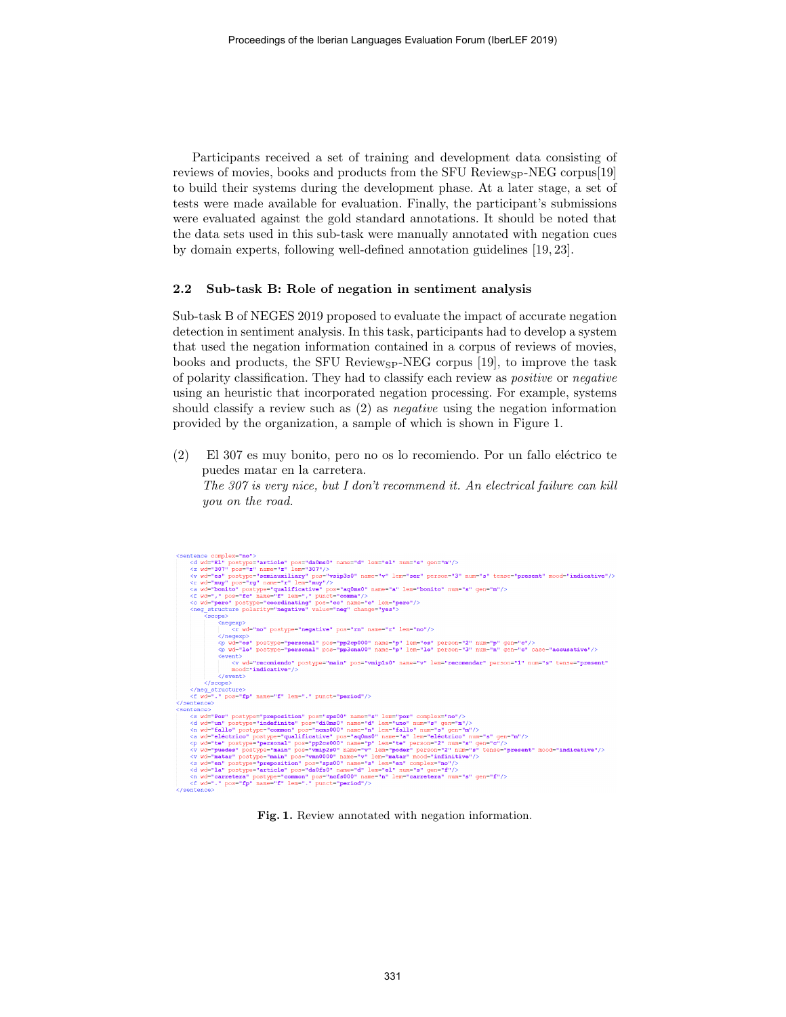Participants received a set of training and development data consisting of reviews of movies, books and products from the SFU Review $_{\rm SP}$ -NEG corpus[19] to build their systems during the development phase. At a later stage, a set of tests were made available for evaluation. Finally, the participant's submissions were evaluated against the gold standard annotations. It should be noted that the data sets used in this sub-task were manually annotated with negation cues by domain experts, following well-defined annotation guidelines [19, 23].

#### 2.2 Sub-task B: Role of negation in sentiment analysis

Sub-task B of NEGES 2019 proposed to evaluate the impact of accurate negation detection in sentiment analysis. In this task, participants had to develop a system that used the negation information contained in a corpus of reviews of movies, books and products, the SFU Review $_{\rm SP}$ -NEG corpus [19], to improve the task of polarity classification. They had to classify each review as positive or negative using an heuristic that incorporated negation processing. For example, systems should classify a review such as (2) as negative using the negation information provided by the organization, a sample of which is shown in Figure 1.

 $(2)$  El 307 es muy bonito, pero no os lo recomiendo. Por un fallo eléctrico te puedes matar en la carretera.

The 307 is very nice, but I don't recommend it. An electrical failure can kill you on the road.



Fig. 1. Review annotated with negation information.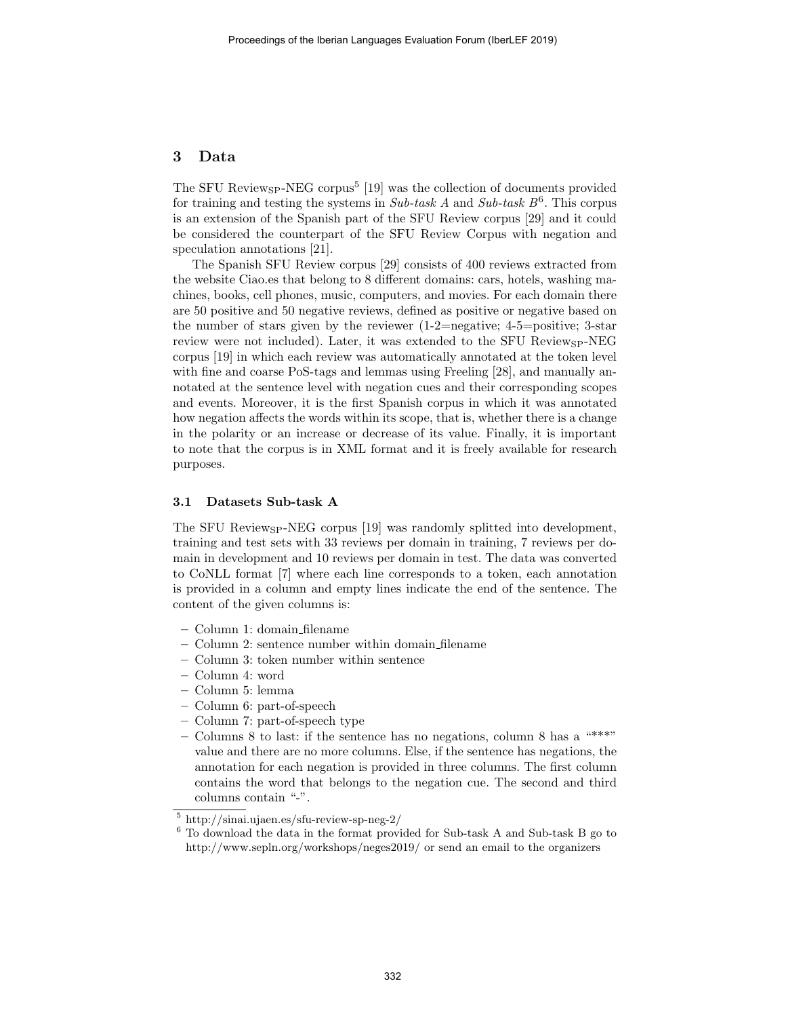# 3 Data

The SFU Review<sub>SP</sub>-NEG corpus<sup>5</sup> [19] was the collection of documents provided for training and testing the systems in  $Sub\text{-}task\ A$  and  $Sub\text{-}task\ B^6$ . This corpus is an extension of the Spanish part of the SFU Review corpus [29] and it could be considered the counterpart of the SFU Review Corpus with negation and speculation annotations [21].

The Spanish SFU Review corpus [29] consists of 400 reviews extracted from the website Ciao.es that belong to 8 different domains: cars, hotels, washing machines, books, cell phones, music, computers, and movies. For each domain there are 50 positive and 50 negative reviews, defined as positive or negative based on the number of stars given by the reviewer  $(1{\text -}2{\text -}negative; 4{\text -}5{\text -}positive; 3{\text -}star)$ review were not included). Later, it was extended to the SFU Review $_{\rm SP}$ -NEG corpus [19] in which each review was automatically annotated at the token level with fine and coarse PoS-tags and lemmas using Freeling [28], and manually annotated at the sentence level with negation cues and their corresponding scopes and events. Moreover, it is the first Spanish corpus in which it was annotated how negation affects the words within its scope, that is, whether there is a change in the polarity or an increase or decrease of its value. Finally, it is important to note that the corpus is in XML format and it is freely available for research purposes.

#### 3.1 Datasets Sub-task A

The SFU Review<sub>SP</sub>-NEG corpus [19] was randomly splitted into development, training and test sets with 33 reviews per domain in training, 7 reviews per domain in development and 10 reviews per domain in test. The data was converted to CoNLL format [7] where each line corresponds to a token, each annotation is provided in a column and empty lines indicate the end of the sentence. The content of the given columns is:

- Column 1: domain filename
- Column 2: sentence number within domain filename
- Column 3: token number within sentence
- Column 4: word
- Column 5: lemma
- Column 6: part-of-speech
- Column 7: part-of-speech type
- Columns 8 to last: if the sentence has no negations, column 8 has a "\*\*\*" value and there are no more columns. Else, if the sentence has negations, the annotation for each negation is provided in three columns. The first column contains the word that belongs to the negation cue. The second and third columns contain "-".

<sup>5</sup> http://sinai.ujaen.es/sfu-review-sp-neg-2/

 $^6$  To download the data in the format provided for Sub-task A and Sub-task B go to http://www.sepln.org/workshops/neges2019/ or send an email to the organizers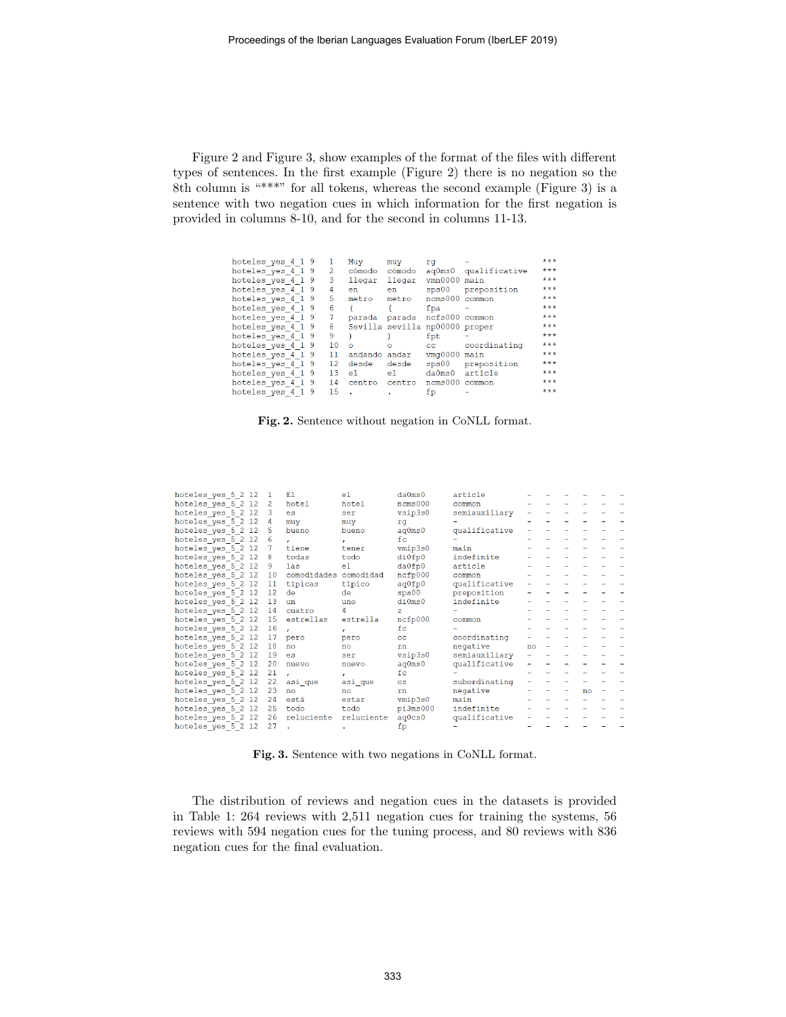Figure 2 and Figure 3, show examples of the format of the files with different types of sentences. In the first example (Figure 2) there is no negation so the 8th column is "\*\*\*" for all tokens, whereas the second example (Figure 3) is a sentence with two negation cues in which information for the first negation is provided in columns 8-10, and for the second in columns 11-13.

| hoteles yes 4 1 9 |    | Muy           | muy             | rq                 |               | $***$ |
|-------------------|----|---------------|-----------------|--------------------|---------------|-------|
| hoteles yes 4 1 9 | 2  | cómodo        | cómodo          | $a\alpha$ Oms $0$  | qualificative | ***   |
| hoteles yes 4 1 9 | 3  | llegar        | llegar          | vmn0000            | main          | ***   |
| hoteles yes 4 1 9 | 4  | en            | en              | 3 <sub>DS</sub> 00 | preposition   | ***   |
| hoteles yes 4 1 9 | 5  | metro         | metro           | ncms000            | common        | ***   |
| hoteles yes 4 1 9 | 6  |               |                 | fpa                |               | ***   |
| hoteles yes 4 1 9 | 7  | parada        | parada          | ncfs000            | common        | ***   |
| hoteles yes 4 1 9 | 8  |               | Sevilla sevilla | np00000 proper     |               | ***   |
| hoteles yes 4 1 9 | 9  |               |                 | fpt                |               | ***   |
| hoteles yes 4 1 9 | 10 | $\Omega$      | $\Omega$        | $_{\rm cc}$        | coordinating  | ***   |
| hoteles yes 4 1 9 | 11 | andando andar |                 | vmq0000            | main          | ***   |
| hoteles yes 4 1 9 | 12 | desde         | desde           | 5 <sub>D</sub> 500 | preposition   | ***   |
| hoteles yes 4 1 9 | 13 | e1.           | e1.             | da0ms0             | article       | ***   |
| hoteles yes 4 1 9 | 14 | centro        | centro          | ncms000            | common        | ***   |
| hoteles yes 4 1 9 | 15 |               | $\blacksquare$  | fp                 |               | ***   |

#### Fig. 2. Sentence without negation in CoNLL format.

| hoteles yes 5 2 12 | 1               | F.1                   | e <sup>1</sup> | da0ms0         | article       |    |  |    |  |
|--------------------|-----------------|-----------------------|----------------|----------------|---------------|----|--|----|--|
| hoteles yes 5 2 12 | $\overline{2}$  | hotel                 | hotel          | ncms000        | common        |    |  |    |  |
| hoteles yes 5 2 12 | 3               | es                    | ser            | vsip3s0        | semiauxiliary |    |  |    |  |
| hoteles yes 5 2 12 | 4               | muy                   | muy            | rq             |               |    |  |    |  |
| hoteles yes 5 2 12 | 5               | bueno                 | bueno          | aq0ms0         | qualificative |    |  |    |  |
| hoteles yes 5 2 12 | $6\phantom{1}6$ | ×.                    | $\mathbf{r}$   | f <sub>C</sub> |               |    |  |    |  |
| hoteles yes 5 2 12 | 7               | tiene                 | tener          | vmip3s0        | main          |    |  |    |  |
| hoteles yes 5 2 12 | 8               | todas                 | todo           | di0fp0         | indefinite    |    |  |    |  |
| hoteles yes 5 2 12 | 9               | las                   | e <sub>1</sub> | da0fp0         | article       |    |  |    |  |
| hoteles yes 5 2 12 | 10              | comodidades comodidad |                | ncfp000        | common        |    |  |    |  |
| hoteles yes 5 2 12 | 11              | típicas               | típico         | aq0fp0         | qualificative |    |  |    |  |
| hoteles yes 5 2 12 | 12              | de                    | de             | sps00          | preposition   |    |  |    |  |
| hoteles yes 5 2 12 | 13              | un                    | uno            | di0ms0         | indefinite    |    |  |    |  |
| hoteles yes 5 2 12 | 14              | cuatro                | 4              | $\overline{z}$ |               |    |  |    |  |
| hoteles yes 5 2 12 | 15              | estrellas             | estrella       | ncfp000        | common        |    |  |    |  |
| hoteles yes 5 2 12 | 16              |                       | $\mathbf{r}$   | f <sub>C</sub> |               |    |  |    |  |
| hoteles yes 5 2 12 | 17              | pero                  | pero           | cc             | coordinating  |    |  |    |  |
| hoteles yes 5 2 12 | 18              | no                    | no             | rn             | negative      | no |  |    |  |
| hoteles yes 5 2 12 | 19              | es                    | ser            | vsip3s0        | semiauxiliary |    |  |    |  |
| hoteles yes 5 2 12 | 20              | nuevo                 | nuevo          | aq0ms0         | qualificative |    |  |    |  |
| hoteles yes 5 2 12 | 21              |                       | $\mathbf{r}$   | fc             |               |    |  |    |  |
| hoteles yes 5 2 12 | 22              | asi que               | así que        | $\mathbf{cs}$  | subordinating |    |  |    |  |
| hoteles yes 5 2 12 | 23              | no                    | no             | rn             | negative      |    |  | no |  |
| hoteles yes 5 2 12 | 24              | está                  | estar          | vmip3s0        | main          |    |  |    |  |
| hoteles yes 5 2 12 | 25              | todo                  | todo           | pi3ms000       | indefinite    |    |  |    |  |
| hoteles yes 5 2 12 | 26              | reluciente            | reluciente     | aq0cs0         | qualificative |    |  |    |  |
| hoteles yes 5 2 12 | 27              |                       |                | fp             |               |    |  |    |  |

Fig. 3. Sentence with two negations in CoNLL format.

The distribution of reviews and negation cues in the datasets is provided in Table 1: 264 reviews with 2,511 negation cues for training the systems, 56 reviews with 594 negation cues for the tuning process, and 80 reviews with 836 negation cues for the final evaluation.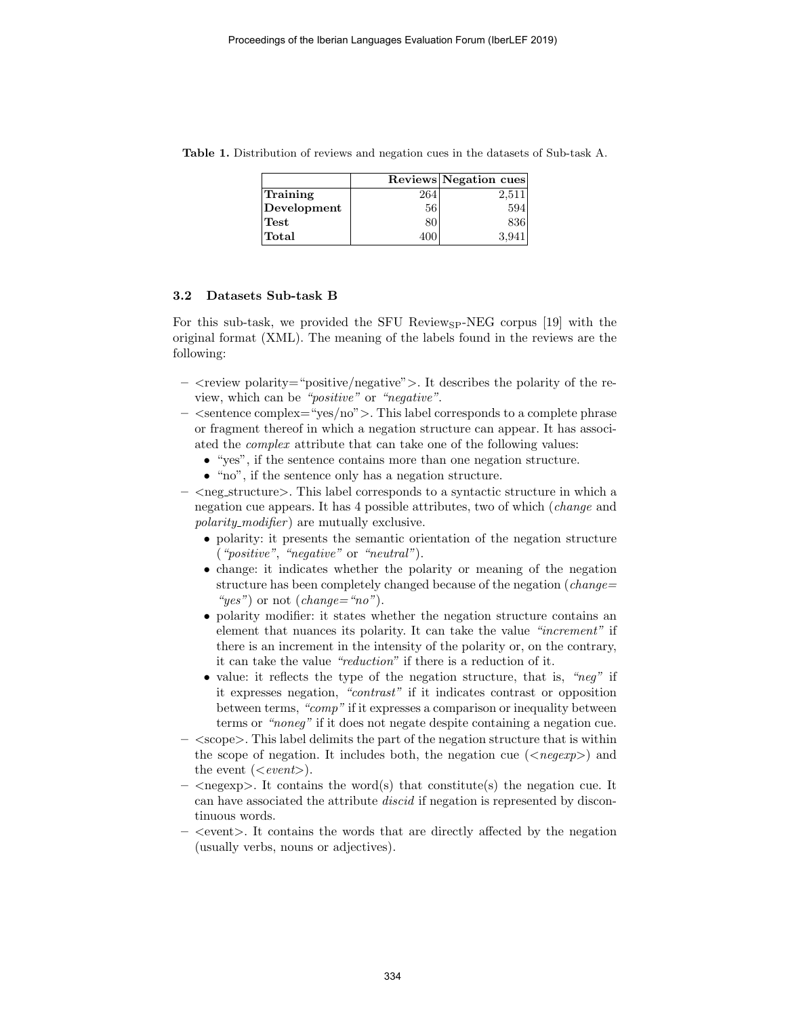|             |      | Reviews Negation cues |
|-------------|------|-----------------------|
| Training    | 264  | 2,511                 |
| Development | 56   | 594                   |
| Test        | 80   | 836                   |
| Total       | 40 K | 3.941                 |

Table 1. Distribution of reviews and negation cues in the datasets of Sub-task A.

## 3.2 Datasets Sub-task B

For this sub-task, we provided the SFU Review $_{SP}$ -NEG corpus [19] with the original format (XML). The meaning of the labels found in the reviews are the following:

- $-$  <review polarity="positive/negative">. It describes the polarity of the review, which can be "positive" or "negative".
- $-$  <sentence complex="yes/no" $>$ . This label corresponds to a complete phrase or fragment thereof in which a negation structure can appear. It has associated the complex attribute that can take one of the following values:
	- "yes", if the sentence contains more than one negation structure.
	- "no", if the sentence only has a negation structure.
- $\leq$  neg structure $\geq$ . This label corresponds to a syntactic structure in which a negation cue appears. It has 4 possible attributes, two of which (change and polarity\_modifier) are mutually exclusive.
	- polarity: it presents the semantic orientation of the negation structure ("positive", "negative" or "neutral").
	- change: it indicates whether the polarity or meaning of the negation structure has been completely changed because of the negation (*change*= " $yes"$  or not (change="no").
	- polarity modifier: it states whether the negation structure contains an element that nuances its polarity. It can take the value "increment" if there is an increment in the intensity of the polarity or, on the contrary, it can take the value "reduction" if there is a reduction of it.
	- value: it reflects the type of the negation structure, that is, "neg" if it expresses negation, "contrast" if it indicates contrast or opposition between terms, "comp" if it expresses a comparison or inequality between terms or "noneg" if it does not negate despite containing a negation cue.
- $\langle$  scope $\rangle$ . This label delimits the part of the negation structure that is within the scope of negation. It includes both, the negation cue  $(\langle \text{negerp} \rangle)$  and the event  $(<\!event>).$
- $\langle$  negexp $\rangle$ . It contains the word(s) that constitute(s) the negation cue. It can have associated the attribute discid if negation is represented by discontinuous words.
- $-$  <event >. It contains the words that are directly affected by the negation (usually verbs, nouns or adjectives).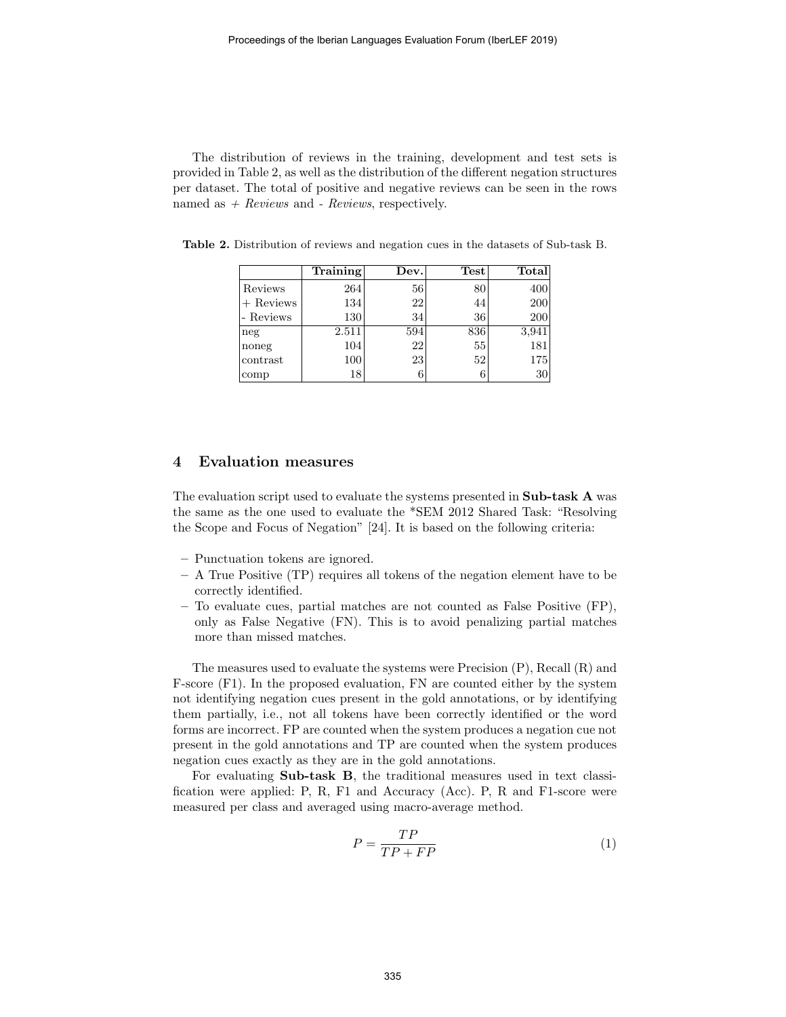The distribution of reviews in the training, development and test sets is provided in Table 2, as well as the distribution of the different negation structures per dataset. The total of positive and negative reviews can be seen in the rows named as  $+$  Reviews and - Reviews, respectively.

|             | Training | Dev. | Test | Total |
|-------------|----------|------|------|-------|
| Reviews     | 264      | 56   | 80   | 400   |
| $+$ Reviews | 134      | 22   | 44   | 200   |
| - Reviews   | 130      | 34   | 36   | 200   |
| neg         | 2.511    | 594  | 836  | 3,941 |
| noneg       | 104      | 22   | 55   | 181   |
| contrast    | 100      | 23   | 52   | 175   |
| comp        | 18       |      | 6    | 30    |

Table 2. Distribution of reviews and negation cues in the datasets of Sub-task B.

## 4 Evaluation measures

The evaluation script used to evaluate the systems presented in Sub-task A was the same as the one used to evaluate the \*SEM 2012 Shared Task: "Resolving the Scope and Focus of Negation" [24]. It is based on the following criteria:

- Punctuation tokens are ignored.
- A True Positive (TP) requires all tokens of the negation element have to be correctly identified.
- To evaluate cues, partial matches are not counted as False Positive (FP), only as False Negative (FN). This is to avoid penalizing partial matches more than missed matches.

The measures used to evaluate the systems were Precision (P), Recall (R) and F-score (F1). In the proposed evaluation, FN are counted either by the system not identifying negation cues present in the gold annotations, or by identifying them partially, i.e., not all tokens have been correctly identified or the word forms are incorrect. FP are counted when the system produces a negation cue not present in the gold annotations and TP are counted when the system produces negation cues exactly as they are in the gold annotations.

For evaluating Sub-task B, the traditional measures used in text classification were applied: P, R, F1 and Accuracy (Acc). P, R and F1-score were measured per class and averaged using macro-average method.

$$
P = \frac{TP}{TP + FP} \tag{1}
$$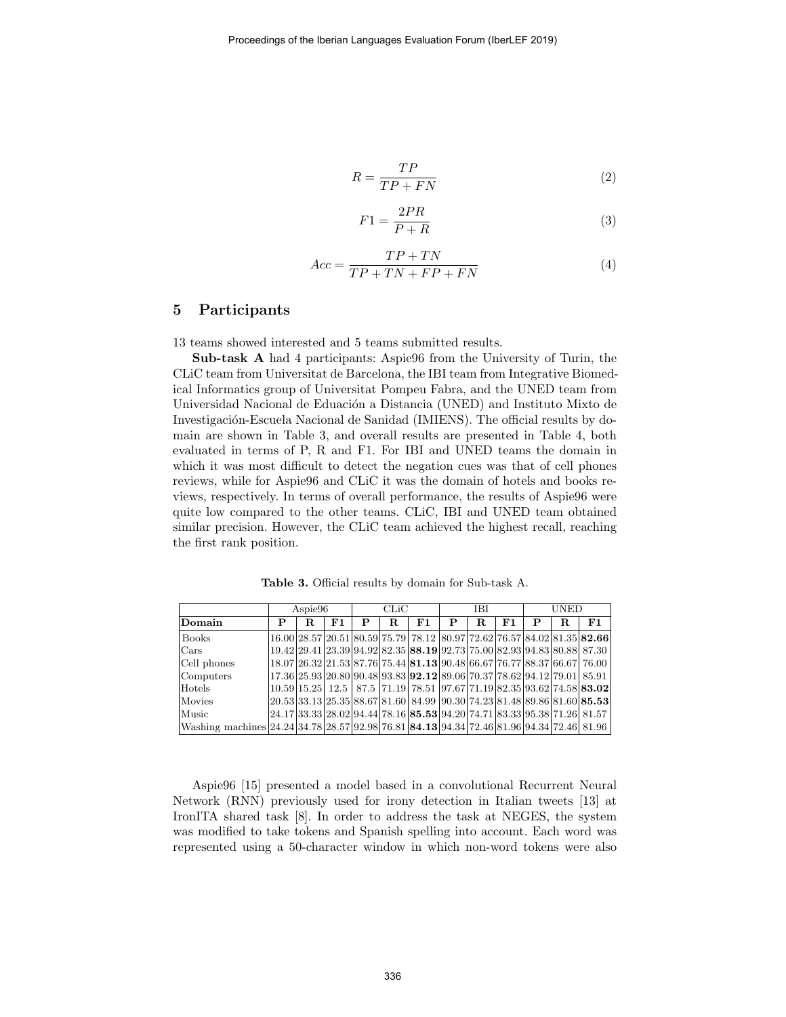$$
R = \frac{TP}{TP + FN} \tag{2}
$$

$$
F1 = \frac{2PR}{P + R} \tag{3}
$$

$$
Acc = \frac{TP + TN}{TP + TN + FP + FN}
$$
\n<sup>(4)</sup>

# 5 Participants

13 teams showed interested and 5 teams submitted results.

Sub-task A had 4 participants: Aspie96 from the University of Turin, the CLiC team from Universitat de Barcelona, the IBI team from Integrative Biomedical Informatics group of Universitat Pompeu Fabra, and the UNED team from Universidad Nacional de Eduación a Distancia (UNED) and Instituto Mixto de Investigación-Escuela Nacional de Sanidad (IMIENS). The official results by domain are shown in Table 3, and overall results are presented in Table 4, both evaluated in terms of P, R and F1. For IBI and UNED teams the domain in which it was most difficult to detect the negation cues was that of cell phones reviews, while for Aspie96 and CLiC it was the domain of hotels and books reviews, respectively. In terms of overall performance, the results of Aspie96 were quite low compared to the other teams. CLiC, IBI and UNED team obtained similar precision. However, the CLiC team achieved the highest recall, reaching the first rank position.

Table 3. Official results by domain for Sub-task A.

|                                                                                                   |   | Aspie96 |    |   | CLiC |                                                                                      |   |    | <b>IBI</b> |   | UNED |                                                                             |
|---------------------------------------------------------------------------------------------------|---|---------|----|---|------|--------------------------------------------------------------------------------------|---|----|------------|---|------|-----------------------------------------------------------------------------|
| Domain                                                                                            | P | R.      | F1 | P | R.   | F1                                                                                   | P | R. | F1         | P | R.   | F1                                                                          |
| <b>Books</b>                                                                                      |   |         |    |   |      |                                                                                      |   |    |            |   |      | 16.00 28.57 20.51 80.59 75.79 78.12 80.97 72.62 76.57 84.02 81.35 82.66     |
| Cars                                                                                              |   |         |    |   |      | 19.42 29.41 23.39 94.92 82.35 88.19 92.73 75.00 82.93 94.83 80.88 87.30              |   |    |            |   |      |                                                                             |
| Cell phones                                                                                       |   |         |    |   |      | 18.07 26.32 21.53 87.76 75.44 81.13 90.48 66.67 76.77 88.37 66.67 76.00              |   |    |            |   |      |                                                                             |
| Computers                                                                                         |   |         |    |   |      | 17.36 25.93 20.80 90.48 93.83 <b>92.12</b> 89.06 70.37 78.62 94.12 79.01 85.91       |   |    |            |   |      |                                                                             |
| Hotels                                                                                            |   |         |    |   |      |                                                                                      |   |    |            |   |      | $10.59 15.25 12.5 87.5 71.19 78.51 97.67 71.19 82.35 93.62 74.58 83.02 $    |
| Movies                                                                                            |   |         |    |   |      |                                                                                      |   |    |            |   |      | $ 20.53 33.13 25.35 88.67 81.60 84.99 90.30 74.23 81.48 89.86 81.60 85.53 $ |
| Music                                                                                             |   |         |    |   |      | $24.17$  33.33 28.02 94.44 78.16  <b>85.53</b>  94.20 74.71 83.33 95.38 71.26  81.57 |   |    |            |   |      |                                                                             |
| Washing machines 24.24 34.78 28.57 92.98 76.81  <b>84.13</b>  94.34 72.46 81.96 94.34 72.46 81.96 |   |         |    |   |      |                                                                                      |   |    |            |   |      |                                                                             |

Aspie96 [15] presented a model based in a convolutional Recurrent Neural Network (RNN) previously used for irony detection in Italian tweets [13] at IronITA shared task [8]. In order to address the task at NEGES, the system was modified to take tokens and Spanish spelling into account. Each word was represented using a 50-character window in which non-word tokens were also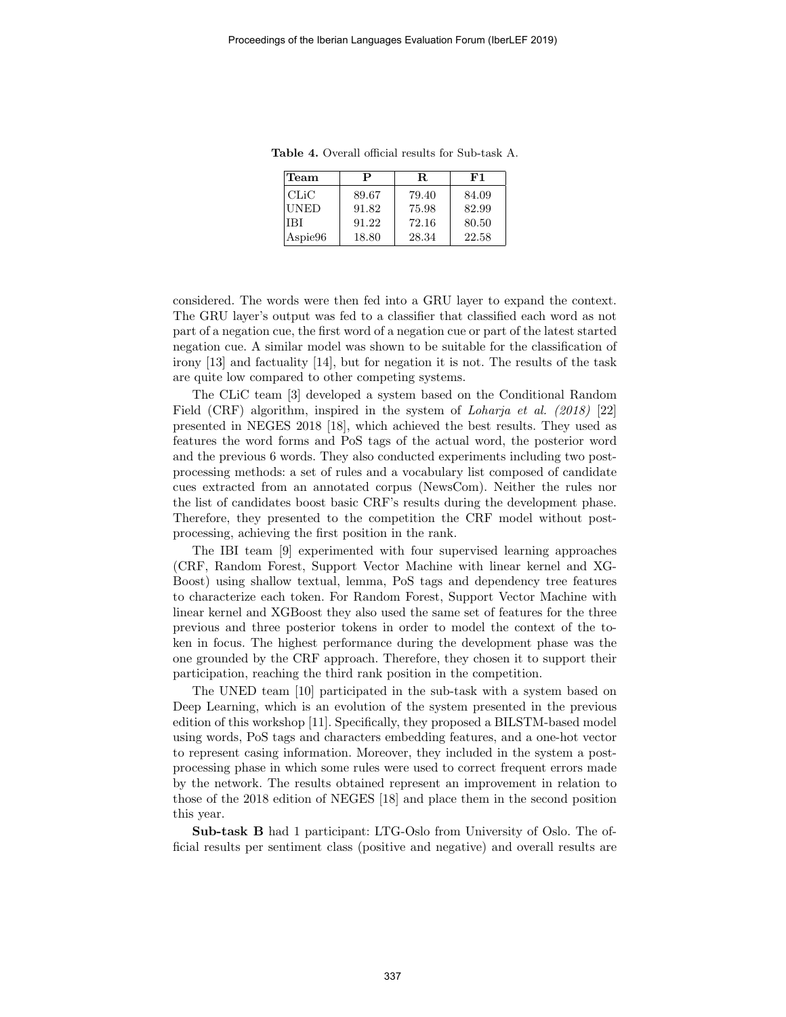| Team        | Р     | R.    | F1    |
|-------------|-------|-------|-------|
| CLiC        | 89.67 | 79.40 | 84.09 |
| <b>UNED</b> | 91.82 | 75.98 | 82.99 |
| <b>IBI</b>  | 91.22 | 72.16 | 80.50 |
| Aspie96     | 18.80 | 28.34 | 22.58 |

Table 4. Overall official results for Sub-task A.

considered. The words were then fed into a GRU layer to expand the context. The GRU layer's output was fed to a classifier that classified each word as not part of a negation cue, the first word of a negation cue or part of the latest started negation cue. A similar model was shown to be suitable for the classification of irony [13] and factuality [14], but for negation it is not. The results of the task are quite low compared to other competing systems.

The CLiC team [3] developed a system based on the Conditional Random Field (CRF) algorithm, inspired in the system of *Loharja et al.* (2018) [22] presented in NEGES 2018 [18], which achieved the best results. They used as features the word forms and PoS tags of the actual word, the posterior word and the previous 6 words. They also conducted experiments including two postprocessing methods: a set of rules and a vocabulary list composed of candidate cues extracted from an annotated corpus (NewsCom). Neither the rules nor the list of candidates boost basic CRF's results during the development phase. Therefore, they presented to the competition the CRF model without postprocessing, achieving the first position in the rank.

The IBI team [9] experimented with four supervised learning approaches (CRF, Random Forest, Support Vector Machine with linear kernel and XG-Boost) using shallow textual, lemma, PoS tags and dependency tree features to characterize each token. For Random Forest, Support Vector Machine with linear kernel and XGBoost they also used the same set of features for the three previous and three posterior tokens in order to model the context of the token in focus. The highest performance during the development phase was the one grounded by the CRF approach. Therefore, they chosen it to support their participation, reaching the third rank position in the competition.

The UNED team [10] participated in the sub-task with a system based on Deep Learning, which is an evolution of the system presented in the previous edition of this workshop [11]. Specifically, they proposed a BILSTM-based model using words, PoS tags and characters embedding features, and a one-hot vector to represent casing information. Moreover, they included in the system a postprocessing phase in which some rules were used to correct frequent errors made by the network. The results obtained represent an improvement in relation to those of the 2018 edition of NEGES [18] and place them in the second position this year.

Sub-task B had 1 participant: LTG-Oslo from University of Oslo. The official results per sentiment class (positive and negative) and overall results are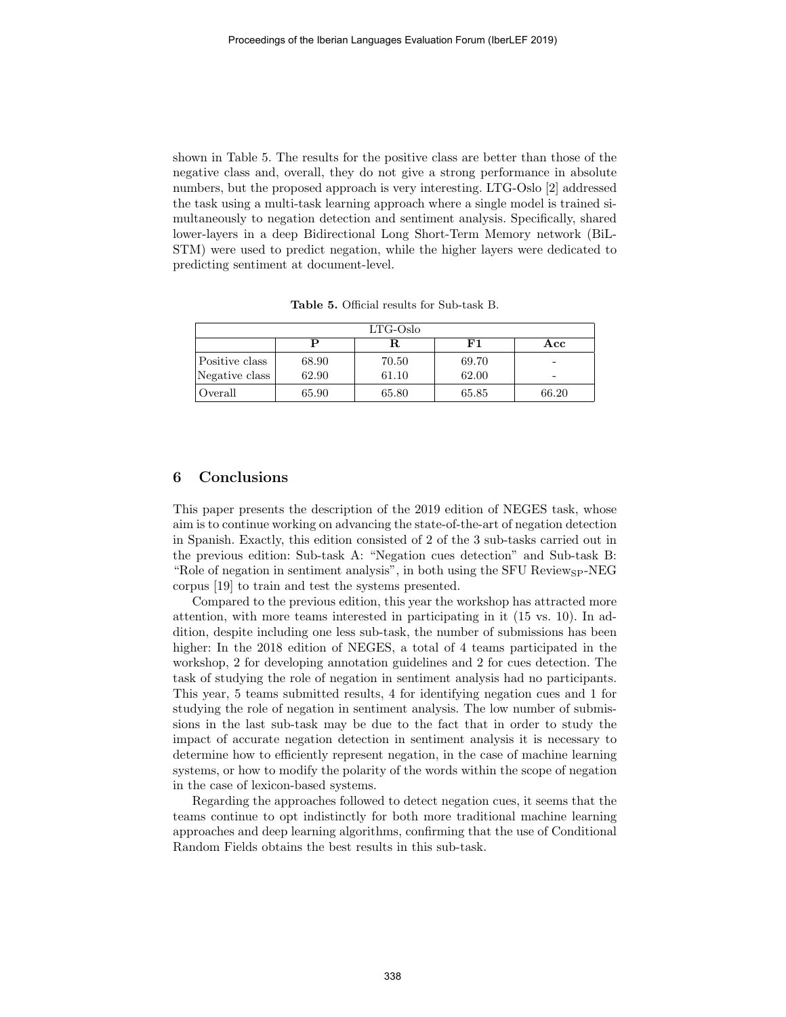shown in Table 5. The results for the positive class are better than those of the negative class and, overall, they do not give a strong performance in absolute numbers, but the proposed approach is very interesting. LTG-Oslo [2] addressed the task using a multi-task learning approach where a single model is trained simultaneously to negation detection and sentiment analysis. Specifically, shared lower-layers in a deep Bidirectional Long Short-Term Memory network (BiL-STM) were used to predict negation, while the higher layers were dedicated to predicting sentiment at document-level.

| $LTG-Oslo$     |       |       |            |       |  |  |  |  |
|----------------|-------|-------|------------|-------|--|--|--|--|
|                |       |       | ${\bf F1}$ | Acc   |  |  |  |  |
| Positive class | 68.90 | 70.50 | 69.70      |       |  |  |  |  |
| Negative class | 62.90 | 61.10 | 62.00      | -     |  |  |  |  |
| Overall        | 65.90 | 65.80 | 65.85      | 66.20 |  |  |  |  |

Table 5. Official results for Sub-task B.

# 6 Conclusions

This paper presents the description of the 2019 edition of NEGES task, whose aim is to continue working on advancing the state-of-the-art of negation detection in Spanish. Exactly, this edition consisted of 2 of the 3 sub-tasks carried out in the previous edition: Sub-task A: "Negation cues detection" and Sub-task B: "Role of negation in sentiment analysis", in both using the SFU Review<sub>SP</sub>-NEG corpus [19] to train and test the systems presented.

Compared to the previous edition, this year the workshop has attracted more attention, with more teams interested in participating in it (15 vs. 10). In addition, despite including one less sub-task, the number of submissions has been higher: In the 2018 edition of NEGES, a total of 4 teams participated in the workshop, 2 for developing annotation guidelines and 2 for cues detection. The task of studying the role of negation in sentiment analysis had no participants. This year, 5 teams submitted results, 4 for identifying negation cues and 1 for studying the role of negation in sentiment analysis. The low number of submissions in the last sub-task may be due to the fact that in order to study the impact of accurate negation detection in sentiment analysis it is necessary to determine how to efficiently represent negation, in the case of machine learning systems, or how to modify the polarity of the words within the scope of negation in the case of lexicon-based systems.

Regarding the approaches followed to detect negation cues, it seems that the teams continue to opt indistinctly for both more traditional machine learning approaches and deep learning algorithms, confirming that the use of Conditional Random Fields obtains the best results in this sub-task.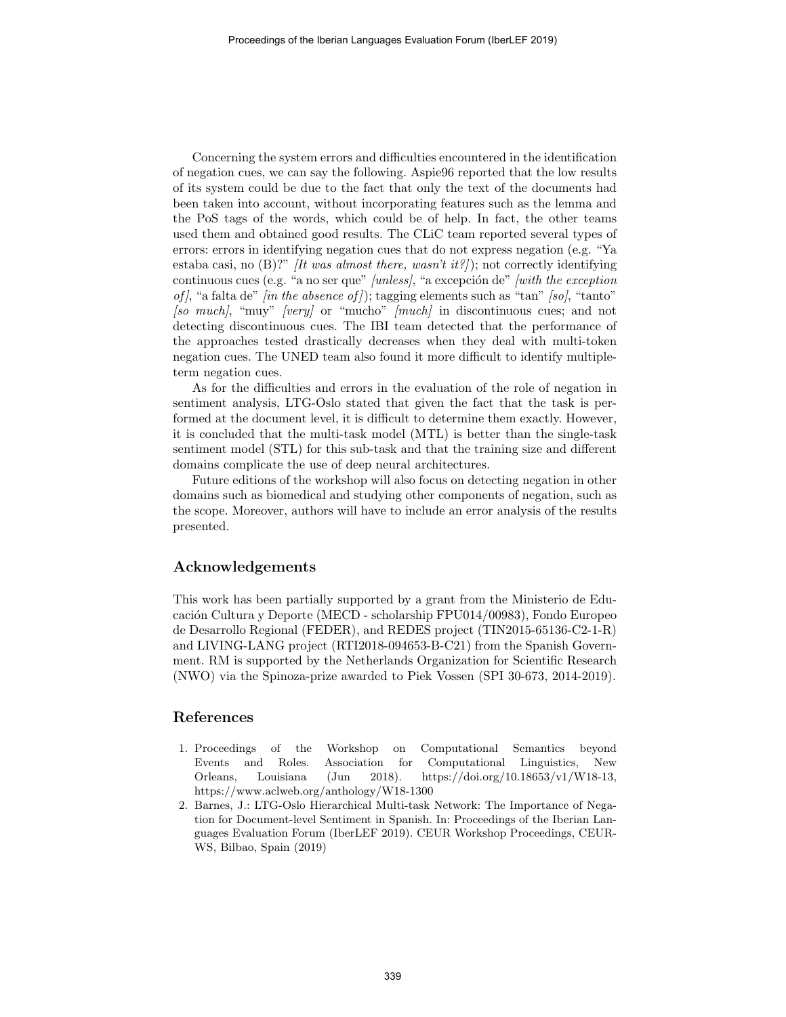Concerning the system errors and difficulties encountered in the identification of negation cues, we can say the following. Aspie96 reported that the low results of its system could be due to the fact that only the text of the documents had been taken into account, without incorporating features such as the lemma and the PoS tags of the words, which could be of help. In fact, the other teams used them and obtained good results. The CLiC team reported several types of errors: errors in identifying negation cues that do not express negation (e.g. "Ya estaba casi, no  $(B)$ ?" [It was almost there, wasn't it?]); not correctly identifying continuous cues (e.g. "a no ser que" [unless], "a excepción de" [with the exception of), "a falta de" [in the absence of]); tagging elements such as "tan" [so], "tanto"  $[so \ much], "muy" [very] or "much" [much] in discontinuous cues; and not$ detecting discontinuous cues. The IBI team detected that the performance of the approaches tested drastically decreases when they deal with multi-token negation cues. The UNED team also found it more difficult to identify multipleterm negation cues.

As for the difficulties and errors in the evaluation of the role of negation in sentiment analysis, LTG-Oslo stated that given the fact that the task is performed at the document level, it is difficult to determine them exactly. However, it is concluded that the multi-task model (MTL) is better than the single-task sentiment model (STL) for this sub-task and that the training size and different domains complicate the use of deep neural architectures.

Future editions of the workshop will also focus on detecting negation in other domains such as biomedical and studying other components of negation, such as the scope. Moreover, authors will have to include an error analysis of the results presented.

# Acknowledgements

This work has been partially supported by a grant from the Ministerio de Educación Cultura y Deporte (MECD - scholarship FPU014/00983), Fondo Europeo de Desarrollo Regional (FEDER), and REDES project (TIN2015-65136-C2-1-R) and LIVING-LANG project (RTI2018-094653-B-C21) from the Spanish Government. RM is supported by the Netherlands Organization for Scientific Research (NWO) via the Spinoza-prize awarded to Piek Vossen (SPI 30-673, 2014-2019).

## References

- 1. Proceedings of the Workshop on Computational Semantics beyond Events and Roles. Association for Computational Linguistics, New Orleans, Louisiana (Jun 2018). https://doi.org/10.18653/v1/W18-13, https://www.aclweb.org/anthology/W18-1300
- 2. Barnes, J.: LTG-Oslo Hierarchical Multi-task Network: The Importance of Negation for Document-level Sentiment in Spanish. In: Proceedings of the Iberian Languages Evaluation Forum (IberLEF 2019). CEUR Workshop Proceedings, CEUR-WS, Bilbao, Spain (2019)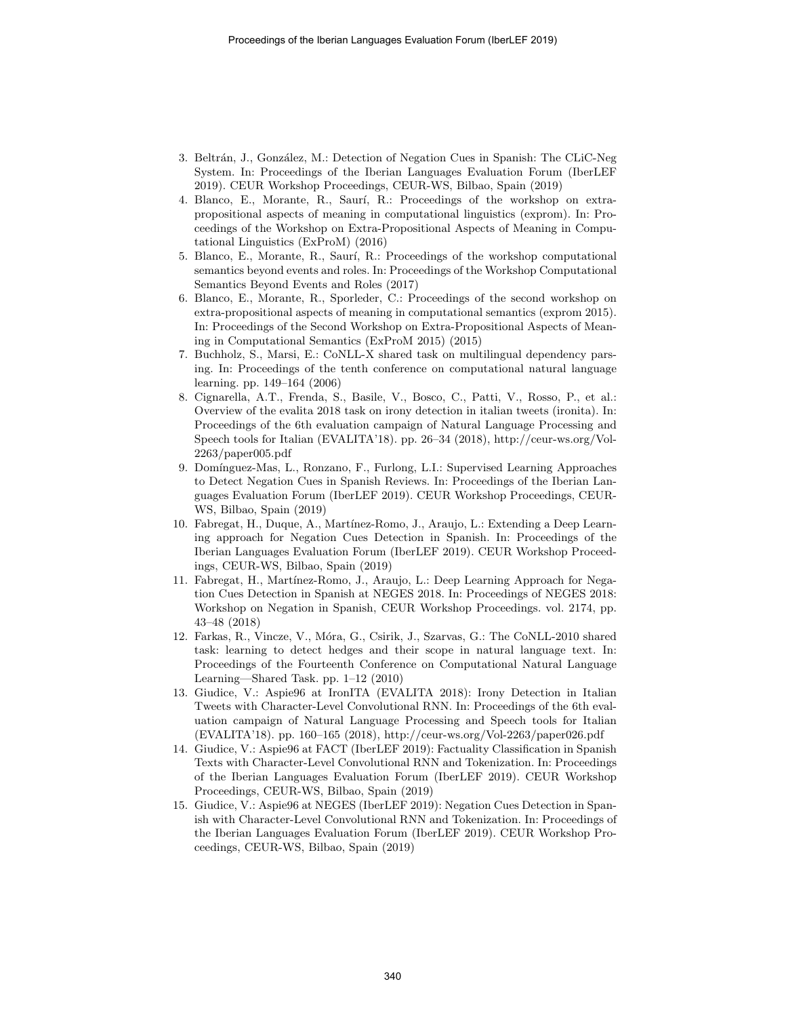- 3. Beltrán, J., González, M.: Detection of Negation Cues in Spanish: The CLiC-Neg System. In: Proceedings of the Iberian Languages Evaluation Forum (IberLEF 2019). CEUR Workshop Proceedings, CEUR-WS, Bilbao, Spain (2019)
- 4. Blanco, E., Morante, R., Saurí, R.: Proceedings of the workshop on extrapropositional aspects of meaning in computational linguistics (exprom). In: Proceedings of the Workshop on Extra-Propositional Aspects of Meaning in Computational Linguistics (ExProM) (2016)
- 5. Blanco, E., Morante, R., Saur´ı, R.: Proceedings of the workshop computational semantics beyond events and roles. In: Proceedings of the Workshop Computational Semantics Beyond Events and Roles (2017)
- 6. Blanco, E., Morante, R., Sporleder, C.: Proceedings of the second workshop on extra-propositional aspects of meaning in computational semantics (exprom 2015). In: Proceedings of the Second Workshop on Extra-Propositional Aspects of Meaning in Computational Semantics (ExProM 2015) (2015)
- 7. Buchholz, S., Marsi, E.: CoNLL-X shared task on multilingual dependency parsing. In: Proceedings of the tenth conference on computational natural language learning. pp. 149–164 (2006)
- 8. Cignarella, A.T., Frenda, S., Basile, V., Bosco, C., Patti, V., Rosso, P., et al.: Overview of the evalita 2018 task on irony detection in italian tweets (ironita). In: Proceedings of the 6th evaluation campaign of Natural Language Processing and Speech tools for Italian (EVALITA'18). pp. 26–34 (2018), http://ceur-ws.org/Vol-2263/paper005.pdf
- 9. Domínguez-Mas, L., Ronzano, F., Furlong, L.I.: Supervised Learning Approaches to Detect Negation Cues in Spanish Reviews. In: Proceedings of the Iberian Languages Evaluation Forum (IberLEF 2019). CEUR Workshop Proceedings, CEUR-WS, Bilbao, Spain (2019)
- 10. Fabregat, H., Duque, A., Mart´ınez-Romo, J., Araujo, L.: Extending a Deep Learning approach for Negation Cues Detection in Spanish. In: Proceedings of the Iberian Languages Evaluation Forum (IberLEF 2019). CEUR Workshop Proceedings, CEUR-WS, Bilbao, Spain (2019)
- 11. Fabregat, H., Mart´ınez-Romo, J., Araujo, L.: Deep Learning Approach for Negation Cues Detection in Spanish at NEGES 2018. In: Proceedings of NEGES 2018: Workshop on Negation in Spanish, CEUR Workshop Proceedings. vol. 2174, pp. 43–48 (2018)
- 12. Farkas, R., Vincze, V., Móra, G., Csirik, J., Szarvas, G.: The CoNLL-2010 shared task: learning to detect hedges and their scope in natural language text. In: Proceedings of the Fourteenth Conference on Computational Natural Language Learning—Shared Task. pp. 1–12 (2010)
- 13. Giudice, V.: Aspie96 at IronITA (EVALITA 2018): Irony Detection in Italian Tweets with Character-Level Convolutional RNN. In: Proceedings of the 6th evaluation campaign of Natural Language Processing and Speech tools for Italian (EVALITA'18). pp. 160–165 (2018), http://ceur-ws.org/Vol-2263/paper026.pdf
- 14. Giudice, V.: Aspie96 at FACT (IberLEF 2019): Factuality Classification in Spanish Texts with Character-Level Convolutional RNN and Tokenization. In: Proceedings of the Iberian Languages Evaluation Forum (IberLEF 2019). CEUR Workshop Proceedings, CEUR-WS, Bilbao, Spain (2019)
- 15. Giudice, V.: Aspie96 at NEGES (IberLEF 2019): Negation Cues Detection in Spanish with Character-Level Convolutional RNN and Tokenization. In: Proceedings of the Iberian Languages Evaluation Forum (IberLEF 2019). CEUR Workshop Proceedings, CEUR-WS, Bilbao, Spain (2019)